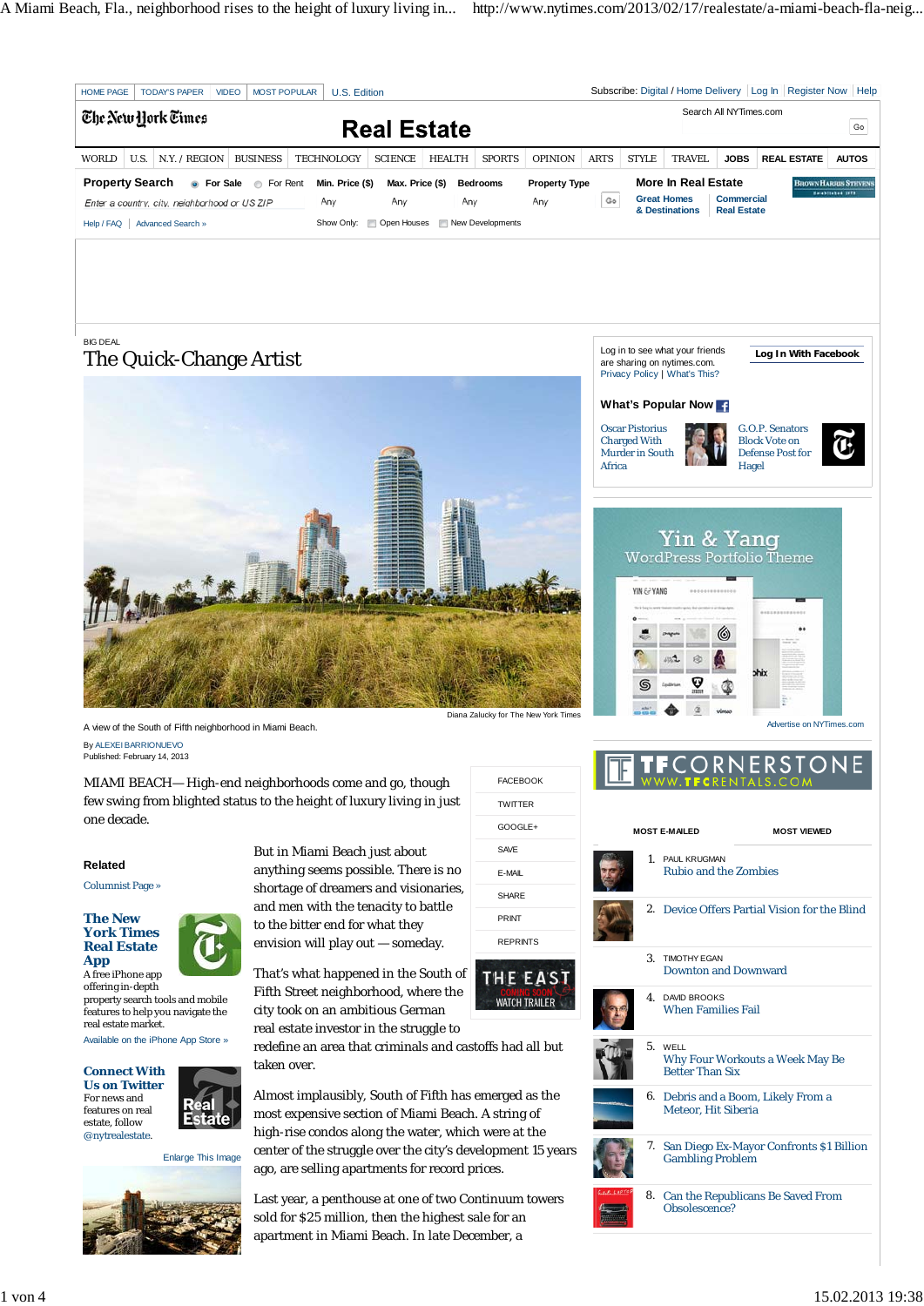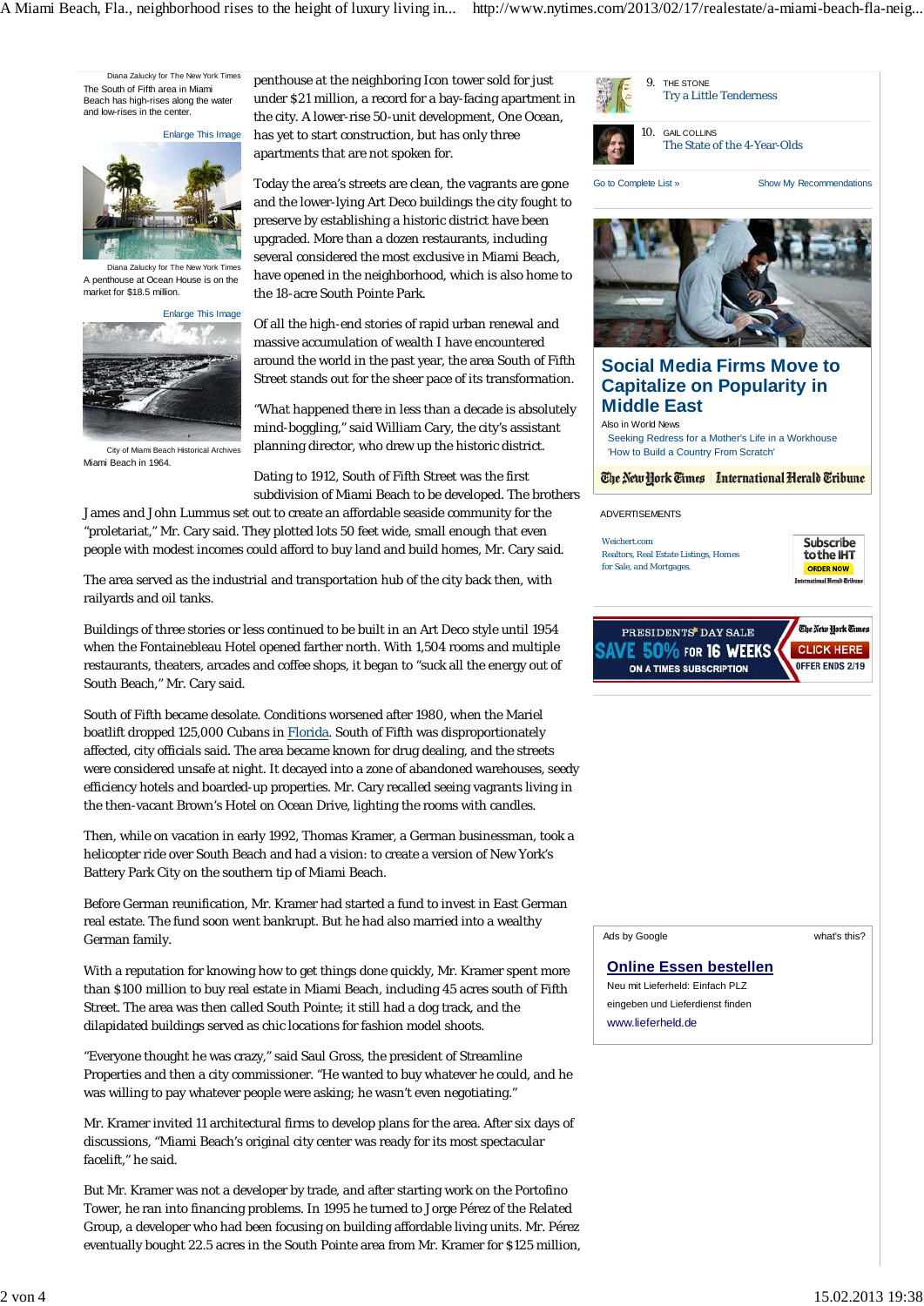Diana Zalucky for The New York Times The South of Fifth area in Miami Beach has high-rises along the water and low-rises in the center.

Enlarge This Image



Diana Zalucky for The New York Times A penthouse at Ocean House is on the market for \$18.5 million.



City of Miami Beach Historical Archives Miami Beach in 1964.

penthouse at the neighboring Icon tower sold for just under \$21 million, a record for a bay-facing apartment in the city. A lower-rise 50-unit development, One Ocean, has yet to start construction, but has only three apartments that are not spoken for.

Today the area's streets are clean, the vagrants are gone and the lower-lying Art Deco buildings the city fought to preserve by establishing a historic district have been upgraded. More than a dozen restaurants, including several considered the most exclusive in Miami Beach, have opened in the neighborhood, which is also home to the 18-acre South Pointe Park.

Of all the high-end stories of rapid urban renewal and massive accumulation of wealth I have encountered around the world in the past year, the area South of Fifth Street stands out for the sheer pace of its transformation.

"What happened there in less than a decade is absolutely mind-boggling," said William Cary, the city's assistant planning director, who drew up the historic district.

Dating to 1912, South of Fifth Street was the first subdivision of Miami Beach to be developed. The brothers

James and John Lummus set out to create an affordable seaside community for the "proletariat," Mr. Cary said. They plotted lots 50 feet wide, small enough that even people with modest incomes could afford to buy land and build homes, Mr. Cary said.

The area served as the industrial and transportation hub of the city back then, with railyards and oil tanks.

Buildings of three stories or less continued to be built in an Art Deco style until 1954 when the Fontainebleau Hotel opened farther north. With 1,504 rooms and multiple restaurants, theaters, arcades and coffee shops, it began to "suck all the energy out of South Beach," Mr. Cary said.

South of Fifth became desolate. Conditions worsened after 1980, when the Mariel boatlift dropped 125,000 Cubans in Florida. South of Fifth was disproportionately affected, city officials said. The area became known for drug dealing, and the streets were considered unsafe at night. It decayed into a zone of abandoned warehouses, seedy efficiency hotels and boarded-up properties. Mr. Cary recalled seeing vagrants living in the then-vacant Brown's Hotel on Ocean Drive, lighting the rooms with candles.

Then, while on vacation in early 1992, Thomas Kramer, a German businessman, took a helicopter ride over South Beach and had a vision: to create a version of New York's Battery Park City on the southern tip of Miami Beach.

Before German reunification, Mr. Kramer had started a fund to invest in East German real estate. The fund soon went bankrupt. But he had also married into a wealthy German family.

With a reputation for knowing how to get things done quickly, Mr. Kramer spent more than \$100 million to buy real estate in Miami Beach, including 45 acres south of Fifth Street. The area was then called South Pointe; it still had a dog track, and the dilapidated buildings served as chic locations for fashion model shoots.

"Everyone thought he was crazy," said Saul Gross, the president of Streamline Properties and then a city commissioner. "He wanted to buy whatever he could, and he was willing to pay whatever people were asking; he wasn't even negotiating."

Mr. Kramer invited 11 architectural firms to develop plans for the area. After six days of discussions, "Miami Beach's original city center was ready for its most spectacular facelift," he said.

But Mr. Kramer was not a developer by trade, and after starting work on the Portofino Tower, he ran into financing problems. In 1995 he turned to Jorge Pérez of the Related Group, a developer who had been focusing on building affordable living units. Mr. Pérez eventually bought 22.5 acres in the South Pointe area from Mr. Kramer for \$125 million,

|                                                                                                                   | 9. THE STONE<br><b>Try a Little Tenderness</b>                                                       |                              |                                                                             |
|-------------------------------------------------------------------------------------------------------------------|------------------------------------------------------------------------------------------------------|------------------------------|-----------------------------------------------------------------------------|
| 10.                                                                                                               | <b>GAIL COLLINS</b>                                                                                  | The State of the 4-Year-Olds |                                                                             |
| Go to Complete List »                                                                                             |                                                                                                      |                              | Show My Recommendations                                                     |
|                                                                                                                   | <b>Social Media Firms Move to</b><br><b>Capitalize on Popularity in</b>                              |                              |                                                                             |
| <b>Middle East</b>                                                                                                |                                                                                                      |                              |                                                                             |
| Also in World News<br>Seeking Redress for a Mother's Life in a Workhouse<br>'How to Build a Country From Scratch' |                                                                                                      |                              |                                                                             |
| The New York Times   International Herald Tribune                                                                 |                                                                                                      |                              |                                                                             |
| <b>ADVERTISEMENTS</b>                                                                                             |                                                                                                      |                              |                                                                             |
| Weichert.com<br>for Sale, and Mortgages.                                                                          | <b>Realtors, Real Estate Listings, Homes</b>                                                         |                              | Subscribe<br>to the IHT<br><b>ORDER NOW</b><br>International Nevald Gribune |
|                                                                                                                   | PRESIDENTS DAY SALE<br>50% FOR 16 WEEKS<br>ON A TIMES SUBSCRIPTION                                   |                              | The New York Times<br><b>CLICK HERE</b><br>OFFER ENDS 2/19                  |
|                                                                                                                   |                                                                                                      |                              |                                                                             |
|                                                                                                                   |                                                                                                      |                              |                                                                             |
| Ads by Google                                                                                                     |                                                                                                      |                              | what's this?                                                                |
| www.lieferheld.de                                                                                                 | <b>Online Essen bestellen</b><br>Neu mit Lieferheld: Einfach PLZ<br>eingeben und Lieferdienst finden |                              |                                                                             |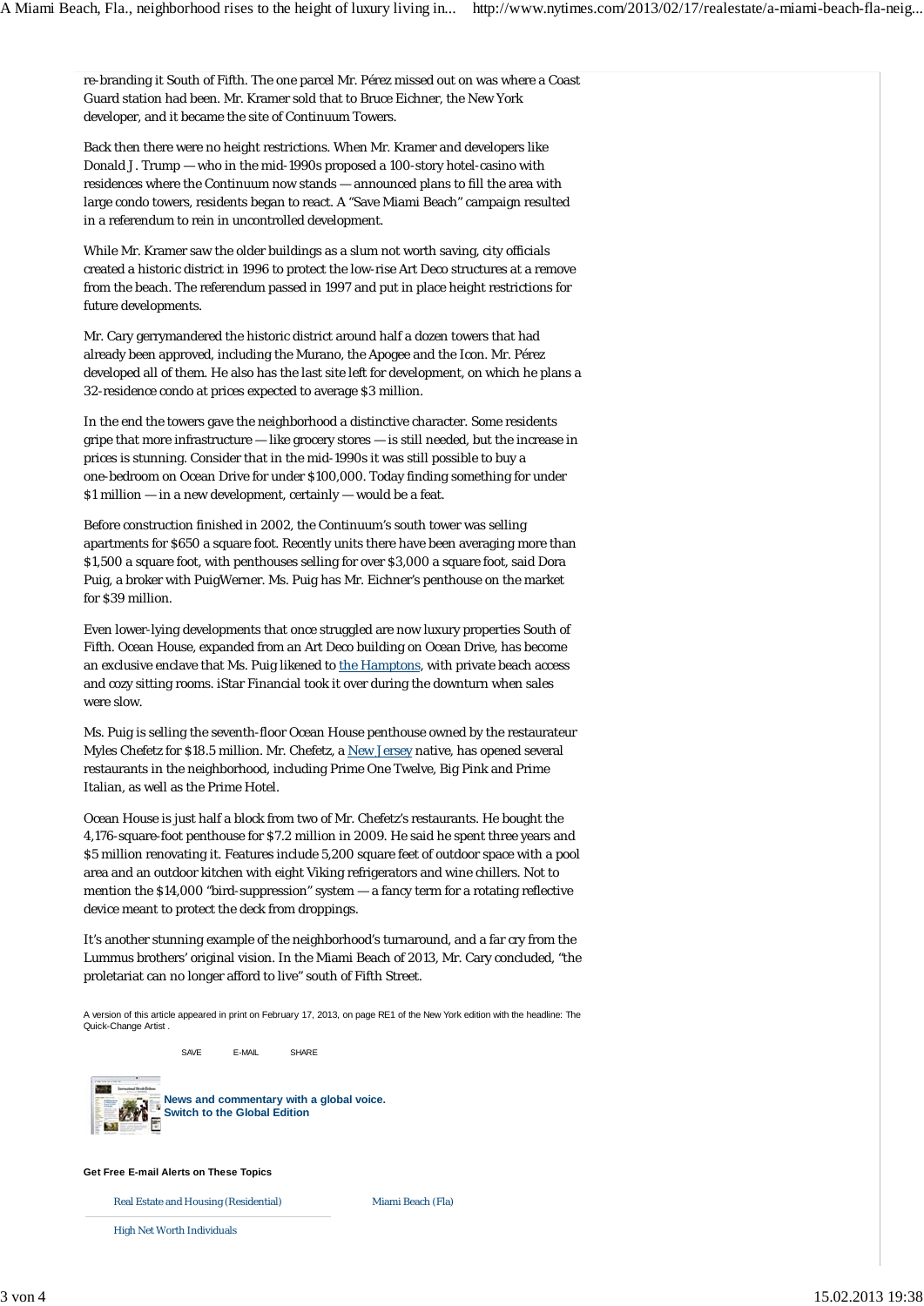re-branding it South of Fifth. The one parcel Mr. Pérez missed out on was where a Coast Guard station had been. Mr. Kramer sold that to Bruce Eichner, the New York developer, and it became the site of Continuum Towers.

Back then there were no height restrictions. When Mr. Kramer and developers like Donald J. Trump — who in the mid-1990s proposed a 100-story hotel-casino with residences where the Continuum now stands — announced plans to fill the area with large condo towers, residents began to react. A "Save Miami Beach" campaign resulted in a referendum to rein in uncontrolled development.

While Mr. Kramer saw the older buildings as a slum not worth saving, city officials created a historic district in 1996 to protect the low-rise Art Deco structures at a remove from the beach. The referendum passed in 1997 and put in place height restrictions for future developments.

Mr. Cary gerrymandered the historic district around half a dozen towers that had already been approved, including the Murano, the Apogee and the Icon. Mr. Pérez developed all of them. He also has the last site left for development, on which he plans a 32-residence condo at prices expected to average \$3 million.

In the end the towers gave the neighborhood a distinctive character. Some residents gripe that more infrastructure — like grocery stores — is still needed, but the increase in prices is stunning. Consider that in the mid-1990s it was still possible to buy a one-bedroom on Ocean Drive for under \$100,000. Today finding something for under \$1 million — in a new development, certainly — would be a feat.

Before construction finished in 2002, the Continuum's south tower was selling apartments for \$650 a square foot. Recently units there have been averaging more than \$1,500 a square foot, with penthouses selling for over \$3,000 a square foot, said Dora Puig, a broker with PuigWerner. Ms. Puig has Mr. Eichner's penthouse on the market for \$39 million.

Even lower-lying developments that once struggled are now luxury properties South of Fifth. Ocean House, expanded from an Art Deco building on Ocean Drive, has become an exclusive enclave that Ms. Puig likened to the Hamptons, with private beach access and cozy sitting rooms. iStar Financial took it over during the downturn when sales were slow.

Ms. Puig is selling the seventh-floor Ocean House penthouse owned by the restaurateur Myles Chefetz for \$18.5 million. Mr. Chefetz, a New Jersey native, has opened several restaurants in the neighborhood, including Prime One Twelve, Big Pink and Prime Italian, as well as the Prime Hotel.

Ocean House is just half a block from two of Mr. Chefetz's restaurants. He bought the 4,176-square-foot penthouse for \$7.2 million in 2009. He said he spent three years and \$5 million renovating it. Features include 5,200 square feet of outdoor space with a pool area and an outdoor kitchen with eight Viking refrigerators and wine chillers. Not to mention the \$14,000 "bird-suppression" system — a fancy term for a rotating reflective device meant to protect the deck from droppings.

It's another stunning example of the neighborhood's turnaround, and a far cry from the Lummus brothers' original vision. In the Miami Beach of 2013, Mr. Cary concluded, "the proletariat can no longer afford to live" south of Fifth Street.

A version of this article appeared in print on February 17, 2013, on page RE1 of the New York edition with the headline: The Quick-Change Artist .

Miami Beach (Fla)

SAVE E-MAIL SHARE



**News and commentary with a global voice. Switch to the Global Edition**

## **Get Free E-mail Alerts on These Topics**

Real Estate and Housing (Residential)

High Net Worth Individuals